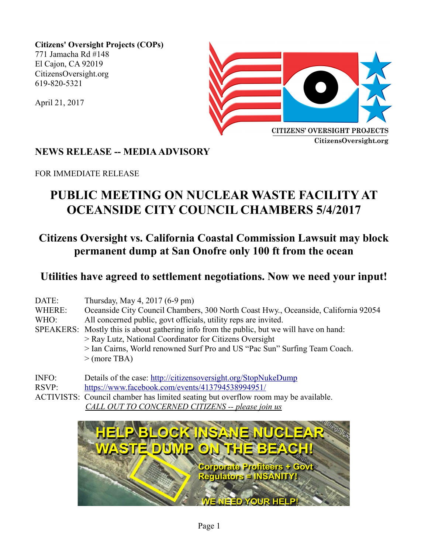**Citizens' Oversight Projects (COPs)** 771 Jamacha Rd #148 El Cajon, CA 92019 CitizensOversight.org 619-820-5321

April 21, 2017



### **NEWS RELEASE -- MEDIA ADVISORY**

FOR IMMEDIATE RELEASE

# **PUBLIC MEETING ON NUCLEAR WASTE FACILITY AT OCEANSIDE CITY COUNCIL CHAMBERS 5/4/2017**

## **Citizens Oversight vs. California Coastal Commission Lawsuit may block permanent dump at San Onofre only 100 ft from the ocean**

### **Utilities have agreed to settlement negotiations. Now we need your input!**

| DATE:<br>WHERE:<br>WHO: | Thursday, May 4, 2017 (6-9 pm)<br>Oceanside City Council Chambers, 300 North Coast Hwy., Oceanside, California 92054<br>All concerned public, govt officials, utility reps are invited.<br>SPEAKERS: Mostly this is about gathering info from the public, but we will have on hand:<br>> Ray Lutz, National Coordinator for Citizens Oversight<br>> Ian Cairns, World renowned Surf Pro and US "Pac Sun" Surfing Team Coach. |  |
|-------------------------|------------------------------------------------------------------------------------------------------------------------------------------------------------------------------------------------------------------------------------------------------------------------------------------------------------------------------------------------------------------------------------------------------------------------------|--|
| INFO:<br>RSVP:          | $>$ (more TBA)<br>Details of the case: http://citizensoversight.org/StopNukeDump<br>https://www.facebook.com/events/413794538994951/                                                                                                                                                                                                                                                                                         |  |

ACTIVISTS: Council chamber has limited seating but overflow room may be available. *CALL OUT TO CONCERNED CITIZENS -- please join us*

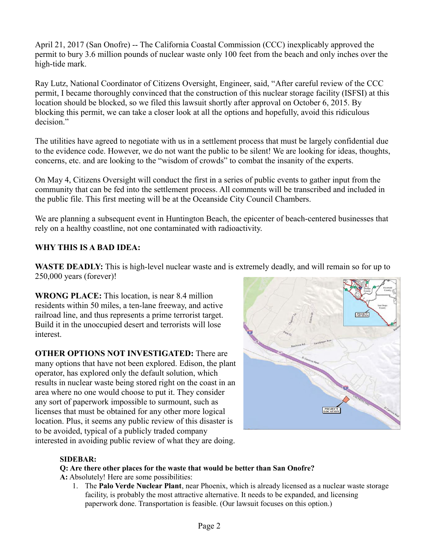April 21, 2017 (San Onofre) -- The California Coastal Commission (CCC) inexplicably approved the permit to bury 3.6 million pounds of nuclear waste only 100 feet from the beach and only inches over the high-tide mark.

Ray Lutz, National Coordinator of Citizens Oversight, Engineer, said, "After careful review of the CCC permit, I became thoroughly convinced that the construction of this nuclear storage facility (ISFSI) at this location should be blocked, so we filed this lawsuit shortly after approval on October 6, 2015. By blocking this permit, we can take a closer look at all the options and hopefully, avoid this ridiculous decision."

The utilities have agreed to negotiate with us in a settlement process that must be largely confidential due to the evidence code. However, we do not want the public to be silent! We are looking for ideas, thoughts, concerns, etc. and are looking to the "wisdom of crowds" to combat the insanity of the experts.

On May 4, Citizens Oversight will conduct the first in a series of public events to gather input from the community that can be fed into the settlement process. All comments will be transcribed and included in the public file. This first meeting will be at the Oceanside City Council Chambers.

We are planning a subsequent event in Huntington Beach, the epicenter of beach-centered businesses that rely on a healthy coastline, not one contaminated with radioactivity.

### **WHY THIS IS A BAD IDEA:**

**WASTE DEADLY:** This is high-level nuclear waste and is extremely deadly, and will remain so for up to 250,000 years (forever)!

**WRONG PLACE:** This location, is near 8.4 million residents within 50 miles, a ten-lane freeway, and active railroad line, and thus represents a prime terrorist target. Build it in the unoccupied desert and terrorists will lose interest.

**OTHER OPTIONS NOT INVESTIGATED:** There are many options that have not been explored. Edison, the plant operator, has explored only the default solution, which results in nuclear waste being stored right on the coast in an area where no one would choose to put it. They consider any sort of paperwork impossible to surmount, such as licenses that must be obtained for any other more logical location. Plus, it seems any public review of this disaster is to be avoided, typical of a publicly traded company interested in avoiding public review of what they are doing.



#### **SIDEBAR:**

#### **Q: Are there other places for the waste that would be better than San Onofre?**

**A:** Absolutely! Here are some possibilities:

1. The **Palo Verde Nuclear Plant**, near Phoenix, which is already licensed as a nuclear waste storage facility, is probably the most attractive alternative. It needs to be expanded, and licensing paperwork done. Transportation is feasible. (Our lawsuit focuses on this option.)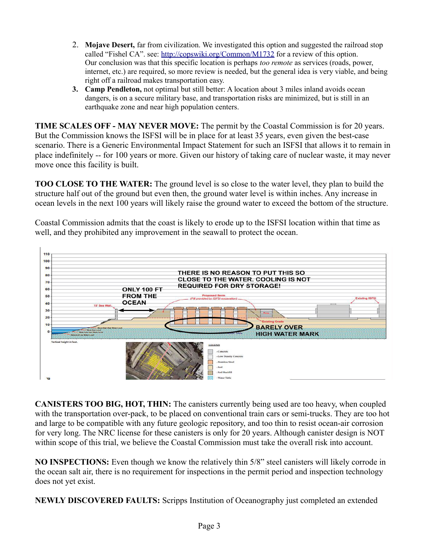- 2. **Mojave Desert,** far from civilization. We investigated this option and suggested the railroad stop called "Fishel CA". see:<http://copswiki.org/Common/M1732>for a review of this option. Our conclusion was that this specific location is perhaps *too remote* as services (roads, power, internet, etc.) are required, so more review is needed, but the general idea is very viable, and being right off a railroad makes transportation easy.
- **3. Camp Pendleton,** not optimal but still better: A location about 3 miles inland avoids ocean dangers, is on a secure military base, and transportation risks are minimized, but is still in an earthquake zone and near high population centers.

**TIME SCALES OFF - MAY NEVER MOVE:** The permit by the Coastal Commission is for 20 years. But the Commission knows the ISFSI will be in place for at least 35 years, even given the best-case scenario. There is a Generic Environmental Impact Statement for such an ISFSI that allows it to remain in place indefinitely -- for 100 years or more. Given our history of taking care of nuclear waste, it may never move once this facility is built.

**TOO CLOSE TO THE WATER:** The ground level is so close to the water level, they plan to build the structure half out of the ground but even then, the ground water level is within inches. Any increase in ocean levels in the next 100 years will likely raise the ground water to exceed the bottom of the structure.

Coastal Commission admits that the coast is likely to erode up to the ISFSI location within that time as well, and they prohibited any improvement in the seawall to protect the ocean.



**CANISTERS TOO BIG, HOT, THIN:** The canisters currently being used are too heavy, when coupled with the transportation over-pack, to be placed on conventional train cars or semi-trucks. They are too hot and large to be compatible with any future geologic repository, and too thin to resist ocean-air corrosion for very long. The NRC license for these canisters is only for 20 years. Although canister design is NOT within scope of this trial, we believe the Coastal Commission must take the overall risk into account.

**NO INSPECTIONS:** Even though we know the relatively thin 5/8" steel canisters will likely corrode in the ocean salt air, there is no requirement for inspections in the permit period and inspection technology does not yet exist.

**NEWLY DISCOVERED FAULTS:** Scripps Institution of Oceanography just completed an extended